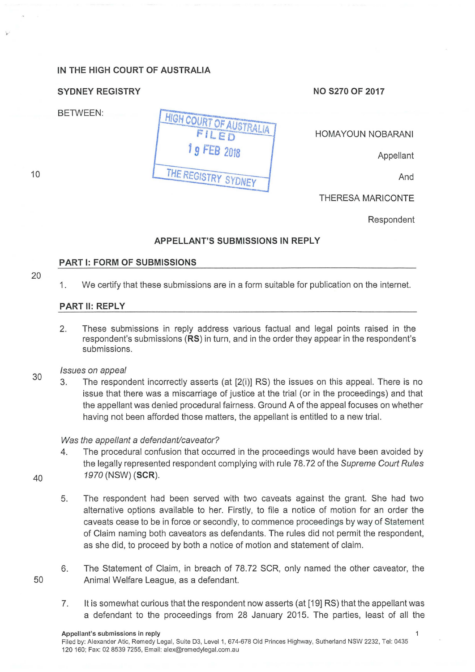# **IN THE HIGH COURT OF AUSTRALIA**

# **SYDNEY REGISTRY CONSUMING A SYDNEY REGISTRY** NO S270 OF 2017

BETWEEN:

HOMAYOUN NOBARANI

**Appellant** 

THE REGISTRY SYDNEY

THERESA MARICONTE

Respondent

## **APPELLANT'S SUBMISSIONS IN REPLY**

HIGH COURT OF AUSTRALIA

9 FEB 2018

#### **PART 1: FORM OF SUBMISSIONS**

20

10

1. We certify that these submissions are in a form suitable for publication on the internet.

#### **PART 11: REPLY**

- 2. These submissions in reply address various factual and legal points raised in the respondent's submissions **(RS)** in turn, and in the order they appear in the respondent's submissions.
- 30 Issues on appeal
	- 3. The respondent incorrectly asserts (at [2(i)] RS) the issues on this appeal. There is no issue that there was a miscarriage of justice at the trial (or in the proceedings) and that the appellant was denied procedural fairness. Ground A of the appeal focuses on whether having not been afforded those matters, the appellant is entitled to a new trial.

## Was the appellant a defendant/caveator?

4. The procedural confusion that occurred in the proceedings would have been avoided by the legally represented respondent complying with rule 78.72 of the Supreme Court Rules 1970 (NSW) **(SCR).** 

40

50

- 5. The respondent had been served with two caveats against the grant. She had two alternative options available to her. Firstly, to file a notice of motion for an order the caveats cease to be in force or secondly, to commence proceedings by way of Statement of Claim naming both caveators as defendants. The rules did not permit the respondent, as she did, to proceed by both a notice of motion and statement of claim.
- 6. The Statement of Claim, in breach of 78.72 SCR, only named the other caveator, the Animal Welfare League, as a defendant.
- 7. lt is somewhat curious that the respondent now asserts (at [19] RS) that the appellant was a defendant to the proceedings from 28 January 2015. The parties, least of all the

 $\mathbf{1}$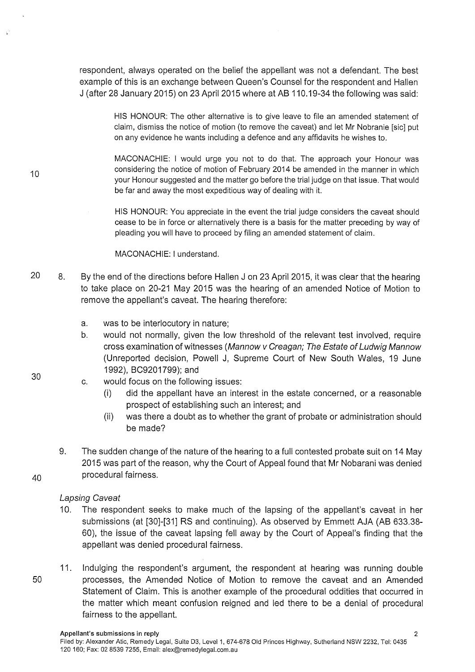respondent, always operated on the belief the appellant was not a defendant. The best example of this is an exchange between Queen's Counsel for the respondent and Hallen J (after 28 January 2015) on 23 April 2015 where at AB 110.19-34 the following was said:

> HIS HONOUR: The other alternative is to give leave to file an amended statement of claim, dismiss the notice of motion (to remove the caveat) and let Mr Nobranie [sic] put on any evidence he wants including a defence and any affidavits he wishes to.

> MACONACHIE: I would urge you not to do that. The approach your Honour was considering the notice of motion of February 2014 be amended in the manner in which your Honour suggested and the matter go before the trial judge on that issue. That would be far and away the most expeditious way of dealing with it.

HIS HONOUR: You appreciate in the event the trial judge considers the caveat should cease to be in force or alternatively there is a basis for the matter preceding by way of pleading you will have to proceed by filing an amended statement of claim.

MACONACHIE: I understand.

- 20 8. By the end of the directions before Hallen J on 23 April 2015, it was clear that the hearing to take place on 20-21 May 2015 was the hearing of an amended Notice of Motion to remove the appellant's caveat. The hearing therefore:
	- a. was to be interlocutory in nature;
	- b. would not normally, given the low threshold of the relevant test involved, require cross examination of witnesses (Mannow v Creagan; The Estate of Ludwig Mannow (Unreported decision, Powell J, Supreme Court of New South Wales, 19 June 1992), BC9201799); and
	- c. would focus on the following issues:
		- (i) did the appellant have an interest in the estate concerned, or a reasonable prospect of establishing such an interest; and
		- (ii) was there a doubt as to whether the grant of probate or administration should be made?
	- 9. The sudden change of the nature of the hearing to a full contested probate suit on 14 May 2015 was part of the reason, why the Court of Appeal found that Mr Nobarani was denied procedural fairness.

#### Lapsing Caveat

- 10. The respondent seeks to make much of the lapsing of the appellant's caveat in her submissions (at [30]-[31] RS and continuing). As observed by Emmett AJA (AB 633.38- 60), the issue of the caveat lapsing fell away by the Court of Appeal's finding that the appellant was denied procedural fairness.
- 11. Indulging the respondent's argument, the respondent at hearing was running double 50 processes, the Amended Notice of Motion to remove the caveat and an Amended Statement of Claim. This is another example of the procedural oddities that occurred in the matter which meant confusion reigned and led there to be a denial of procedural fairness to the appellant.

30

10

40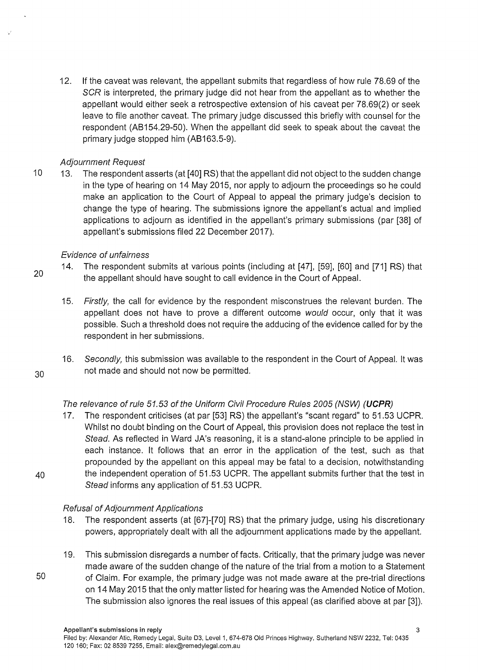12. If the caveat was relevant, the appellant submits that regardless of how rule 78.69 of the SCR is interpreted, the primary judge did not hear from the appellant as to whether the appellant would either seek a retrospective extension of his caveat per 78.69(2) or seek leave to file another caveat. The primary judge discussed this briefly with counsel for the respondent (AB154.29-50). When the appellant did seek to speak about the caveat the primary judge stopped him (AB163.5-9).

## Adjournment Request

10 13. The respondent asserts (at [40] RS) that the appellant did not object to the sudden change in the type of hearing on 14 May 2015, nor apply to adjourn the proceedings so he could make an application to the Court of Appeal to appeal the primary judge's decision to change the type of hearing. The submissions ignore the appellant's actual and implied applications to adjourn as identified in the appellant's primary submissions (par [38] of appellant's submissions filed 22 December 2017).

#### Evidence of unfairness

- 20 14. The respondent submits at various points (including at [47], [59], [60] and [71] RS) that the appellant should have sought to call evidence in the Court of Appeal.
	- 15. Firstly, the call for evidence by the respondent misconstrues the relevant burden. The appellant does not have to prove a different outcome would occur, only that it was possible. Such a threshold does not require the adducing of the evidence called for by the respondent in her submissions.
- 16. Secondly, this submission was available to the respondent in the Court of Appeal. lt was 30 not made and should not now be permitted.

# The relevance of rule 51.53 of the Uniform Civil Procedure Rules 2005 (NSW) **(UCPR)**

17. The respondent criticises (at par [53] RS) the appellant's "scant regard" to 51.53 UCPR. Whilst no doubt binding on the Court of Appeal, this provision does not replace the test in Stead. As reflected in Ward JA's reasoning, it is a stand-alone principle to be applied in each instance. lt follows that an error in the application of the test, such as that propounded by the appellant on this appeal may be fatal to a decision, notwithstanding 40 the independent operation of 51.53 UCPR. The appellant submits further that the test in Stead informs any application of 51.53 UCPR.

## Refusal of Adjournment Applications

- 18. The respondent asserts (at [67]-[70] RS) that the primary judge, using his discretionary powers, appropriately dealt with all the adjournment applications made by the appellant.
- 19. This submission disregards a number of facts. Critically, that the primary judge was never made aware of the sudden change of the nature of the trial from a motion to a Statement 50 of Claim. For example, the primary judge was not made aware at the pre-trial directions on 14 May 2015 that the only matter listed for hearing was the Amended Notice of Motion. The submission also ignores the real issues of this appeal (as clarified above at par [3]).
-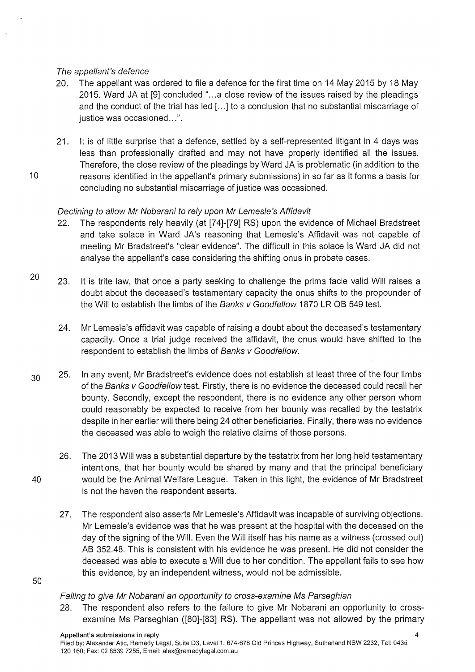# The appellant's defence

- 20. The appellant was ordered to file a defence for the first time on 14 May 2015 by 18 May 2015. Ward JA at [9] concluded "...a close review of the issues raised by the pleadings and the conduct of the trial has led [...] to a conclusion that no substantial miscarriage of justice was occasioned...".
- 21. lt is of little surprise that a defence, settled by a self-represented litigant in 4 days was less than professionally drafted and may not have properly identified all the issues. Therefore, the close review of the pleadings by Ward JA is problematic (in addition to the 10 reasons identified in the appellant's primary submissions) in so far as it forms a basis for concluding no substantial miscarriage of justice was occasioned.

# Declining to allow Mr Nobarani to rely upon Mr Lemesle's Affidavit

- 22. The respondents rely heavily (at [74]-[79] RS) upon the evidence of Michael Bradstreet and take solace in Ward JA's reasoning that Lemesle's Affidavit was not capable of meeting Mr Bradstreet's "clear evidence". The difficult in this solace is Ward JA did not analyse the appellant's case considering the shifting onus in probate cases.
- 23. lt is trite law, that once a party seeking to challenge the prima facie valid Will raises a doubt about the deceased's testamentary capacity the onus shifts to the propounder of the Will to establish the limbs of the Banks v Goodfellow 1870 LR QB 549 test.
	- 24. Mr Lemesle's affidavit was capable of raising a doubt about the deceased's testamentary capacity. Once a trial judge received the affidavit, the onus would have shifted to the respondent to establish the limbs of Banks v Goodfellow.
- $30$  25. In any event, Mr Bradstreet's evidence does not establish at least three of the four limbs of the Banks v Goodfellow test. Firstly, there is no evidence the deceased could recall her bounty. Secondly, except the respondent, there is no evidence any other person whom could reasonably be expected to receive from her bounty was recalled by the testatrix despite in her earlier will there being 24 other beneficiaries. Finally, there was no evidence the deceased was able to weigh the relative claims of those persons.
- 26. The 2013 Will was a substantial departure by the testatrix from her long held testamentary intentions, that her bounty would be shared by many and that the principal beneficiary 40 would be the Animal Welfare League. Taken in this light, the evidence of Mr Bradstreet is not the haven the respondent asserts.
	- 27. The respondent also asserts Mr Lemesle's Affidavit was incapable of surviving objections. Mr Lemesle's evidence was that he was present at the hospital with the deceased on the day of the signing of the Will. Even the Will itself has his name as a witness (crossed out) AB 352.48. This is consistent with his evidence he was present. He did not consider the deceased was able to execute a Will due to her condition. The appellant fails to see how this evidence, by an independent witness, would not be admissible.
- 50

20

## Failing to give Mr Nobarani an opportunity to cross-examine Ms Parseghian

28. The respondent also refers to the failure to give Mr Nobarani an opportunity to crossexamine Ms Parseghian ([80]-[83] RS). The appellant was not allowed by the primary